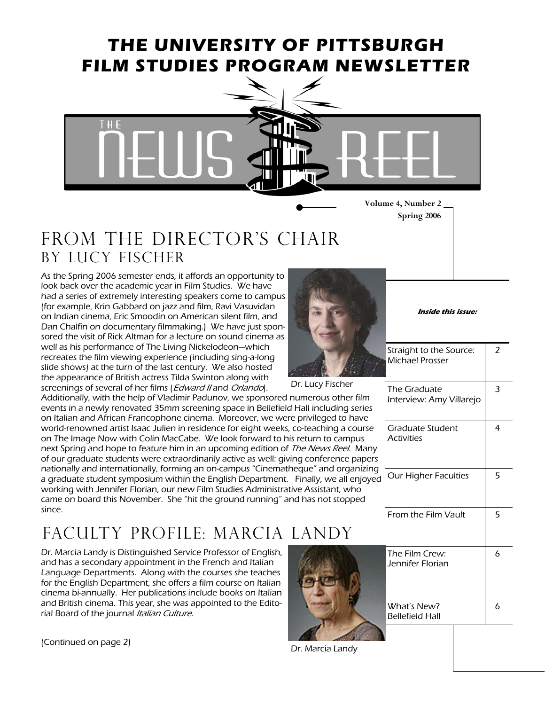### **THE UNIVERSITY OF PITTSBURGH FILM STUDIES PROGRAM NEWSLETTER**



**Volume 4, Number 2 Spring 2006** 

### FROM THE DIRECTOR'S CHAIR By Lucy fischer

As the Spring 2006 semester ends, it affords an opportunity to look back over the academic year in Film Studies. We have had a series of extremely interesting speakers come to campus (for example, Krin Gabbard on jazz and film, Ravi Vasuvidan on Indian cinema, Eric Smoodin on American silent film, and Dan Chalfin on documentary filmmaking.) We have just sponsored the visit of Rick Altman for a lecture on sound cinema as well as his performance of The Living Nickelodeon—which recreates the film viewing experience (including sing-a-long slide shows) at the turn of the last century. We also hosted the appearance of British actress Tilda Swinton along with screenings of several of her films (Edward II and Orlando).

Additionally, with the help of Vladimir Padunov, we sponsored numerous other film events in a newly renovated 35mm screening space in Bellefield Hall including series on Italian and African Francophone cinema. Moreover, we were privileged to have world-renowned artist Isaac Julien in residence for eight weeks, co-teaching a course on The Image Now with Colin MacCabe. We look forward to his return to campus next Spring and hope to feature him in an upcoming edition of *The News Reel*. Many of our graduate students were extraordinarily active as well: giving conference papers nationally and internationally, forming an on-campus "Cinematheque" and organizing a graduate student symposium within the English Department. Finally, we all enjoyed working with Jennifer Florian, our new Film Studies Administrative Assistant, who came on board this November. She "hit the ground running" and has not stopped since.

## Faculty profile: Marcia Landy

Dr. Marcia Landy is Distinguished Service Professor of English, and has a secondary appointment in the French and Italian Language Departments. Along with the courses she teaches for the English Department, she offers a film course on Italian cinema bi-annually. Her publications include books on Italian and British cinema. This year, she was appointed to the Editorial Board of the journal Italian Culture.

(Continued on page 2)



**Inside this issue:** 

 $\overline{2}$ 

Straight to the Source: Michael Prosser

Dr. Lucy Fischer

| Dr. Lucy Fischer |  |
|------------------|--|
|------------------|--|

| The Graduate<br>Interview: Amy Villarejo | 3 |
|------------------------------------------|---|
| Graduate Student<br><b>Activities</b>    | 4 |
| <b>Our Higher Faculties</b>              | 5 |
| From the Film Vault                      | 5 |
| The Film Crew:<br>Jennifer Florian       | 6 |



What's New? Bellefield Hall 6

Dr. Marcia Landy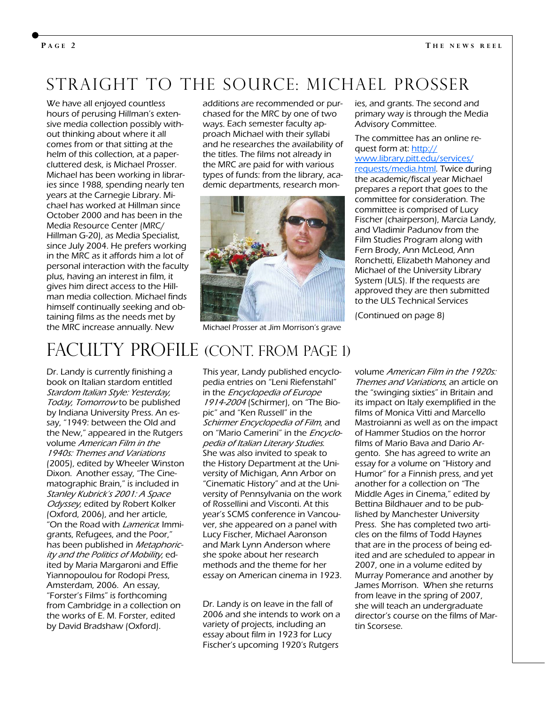#### **P AGE 2**

#### Straight to the source: Michael prosser

We have all enjoyed countless hours of perusing Hillman's extensive media collection possibly without thinking about where it all comes from or that sitting at the helm of this collection, at a papercluttered desk, is Michael Prosser. Michael has been working in libraries since 1988, spending nearly ten years at the Carnegie Library. Michael has worked at Hillman since October 2000 and has been in the Media Resource Center (MRC/ Hillman G-20), as Media Specialist, since July 2004. He prefers working in the MRC as it affords him a lot of personal interaction with the faculty plus, having an interest in film, it gives him direct access to the Hillman media collection. Michael finds himself continually seeking and obtaining films as the needs met by the MRC increase annually. New

additions are recommended or purchased for the MRC by one of two ways. Each semester faculty approach Michael with their syllabi and he researches the availability of the titles. The films not already in the MRC are paid for with various types of funds: from the library, academic departments, research mon-



Michael Prosser at Jim Morrison's grave

ies, and grants. The second and primary way is through the Media Advisory Committee.

#### The committee has an online request form at: [http:/](http://www.library.pitt.edu/services/requests/media.html)/ [www.library.pitt.edu/services/](http://www.library.pitt.edu/services/requests/media.html) [requests/media.htm](http://www.library.pitt.edu/services/requests/media.html)l. Twice during the academic/fiscal year Michael prepares a report that goes to the committee for consideration. The committee is comprised of Lucy Fischer (chairperson), Marcia Landy, and Vladimir Padunov from the Film Studies Program along with Fern Brody, Ann McLeod, Ann Ronchetti, Elizabeth Mahoney and Michael of the University Library System (ULS). If the requests are approved they are then submitted to the ULS Technical Services

(Continued on page 8)

# FACULTY PROFILE (CONT. FROM PAGE 1)

Dr. Landy is currently finishing a book on Italian stardom entitled Stardom Italian Style: Yesterday, Today, Tomorrow to be published by Indiana University Press. An essay, "1949: between the Old and the New," appeared in the Rutgers volume American Film in the 1940s: Themes and Variations (2005), edited by Wheeler Winston Dixon. Another essay, "The Cinematographic Brain," is included in Stanley Kubrick's 2001: A Space Odyssey, edited by Robert Kolker (Oxford, 2006), and her article, "On the Road with *Lamerica*: Immigrants, Refugees, and the Poor," has been published in *Metaphoric*ity and the Politics of Mobility, edited by Maria Margaroni and Effie Yiannopoulou for Rodopi Press, Amsterdam, 2006. An essay, "Forster's Films" is forthcoming from Cambridge in a collection on the works of E. M. Forster, edited by David Bradshaw (Oxford).

This year, Landy published encyclopedia entries on "Leni Riefenstahl" in the *Encyclopedia of Europe* 1914-2004 (Schirmer), on "The Biopic" and "Ken Russell" in the Schirmer Encyclopedia of Film, and on "Mario Camerini" in the Encyclopedia of Italian Literary Studies. She was also invited to speak to the History Department at the University of Michigan, Ann Arbor on "Cinematic History" and at the University of Pennsylvania on the work of Rossellini and Visconti. At this year's SCMS conference in Vancouver, she appeared on a panel with Lucy Fischer, Michael Aaronson and Mark Lynn Anderson where she spoke about her research methods and the theme for her essay on American cinema in 1923.

Dr. Landy is on leave in the fall of 2006 and she intends to work on a variety of projects, including an essay about film in 1923 for Lucy Fischer's upcoming 1920's Rutgers

volume American Film in the 1920s: Themes and Variations, an article on the "swinging sixties" in Britain and its impact on Italy exemplified in the films of Monica Vitti and Marcello Mastroianni as well as on the impact of Hammer Studios on the horror films of Mario Bava and Dario Argento. She has agreed to write an essay for a volume on "History and Humor" for a Finnish press, and yet another for a collection on "The Middle Ages in Cinema," edited by Bettina Bildhauer and to be published by Manchester University Press. She has completed two articles on the films of Todd Haynes that are in the process of being edited and are scheduled to appear in 2007, one in a volume edited by Murray Pomerance and another by James Morrison. When she returns from leave in the spring of 2007, she will teach an undergraduate director's course on the films of Martin Scorsese.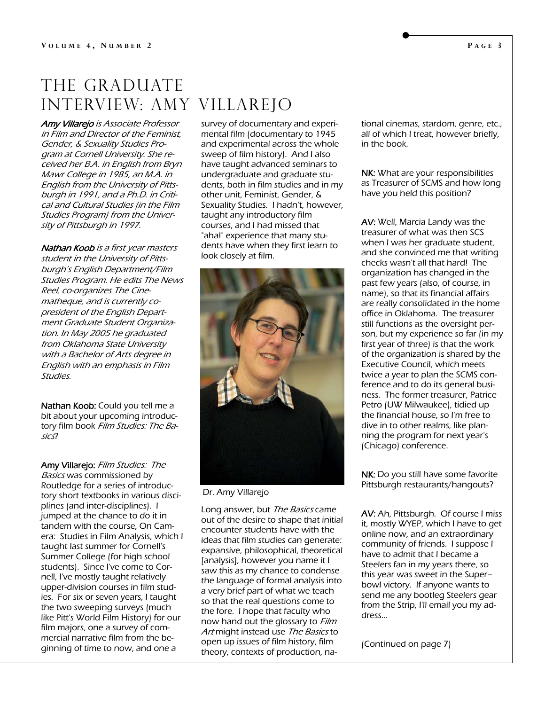#### THE GRADUATE Interview: Amy Villarejo

**Amy Villarejo** is Associate Professor in Film and Director of the Feminist, Gender, & Sexuality Studies Program at Cornell University. She received her B.A. in English from Bryn Mawr College in 1985, an M.A. in English from the University of Pittsburgh in 1991, and a Ph.D. in Critical and Cultural Studies (in the Film Studies Program) from the University of Pittsburgh in 1997.

Nathan Koob is a first year masters student in the University of Pittsburgh's English Department/Film Studies Program. He edits The News Reel, co-organizes The Cinematheque, and is currently copresident of the English Department Graduate Student Organization. In May 2005 he graduated from Oklahoma State University with a Bachelor of Arts degree in English with an emphasis in Film Studies.

Nathan Koob: Could you tell me a bit about your upcoming introductory film book Film Studies: The Basics?

Amy Villarejo: Film Studies: The Basics was commissioned by Routledge for a series of introductory short textbooks in various disciplines (and inter-disciplines). I jumped at the chance to do it in tandem with the course, On Camera: Studies in Film Analysis, which I taught last summer for Cornell's Summer College (for high school students). Since I've come to Cornell, I've mostly taught relatively upper-division courses in film studies. For six or seven years, I taught the two sweeping surveys (much like Pitt's World Film History) for our film majors, one a survey of commercial narrative film from the beginning of time to now, and one a

survey of documentary and experimental film (documentary to 1945 and experimental across the whole sweep of film history). And I also have taught advanced seminars to undergraduate and graduate students, both in film studies and in my other unit, Feminist, Gender, & Sexuality Studies. I hadn't, however, taught any introductory film courses, and I had missed that "aha!" experience that many students have when they first learn to look closely at film.



Dr. Amy Villarejo

Long answer, but *The Basics* came out of the desire to shape that initial encounter students have with the ideas that film studies can generate: expansive, philosophical, theoretical [analysis], however you name it I saw this as my chance to condense the language of formal analysis into a very brief part of what we teach so that the real questions come to the fore. I hope that faculty who now hand out the glossary to Film Art might instead use The Basics to open up issues of film history, film theory, contexts of production, national cinemas, stardom, genre, etc., all of which I treat, however briefly, in the book.

NK: What are your responsibilities as Treasurer of SCMS and how long have you held this position?

AV: Well, Marcia Landy was the treasurer of what was then SCS when I was her graduate student, and she convinced me that writing checks wasn't all that hard! The organization has changed in the past few years (also, of course, in name), so that its financial affairs are really consolidated in the home office in Oklahoma. The treasurer still functions as the oversight person, but my experience so far (in my first year of three) is that the work of the organization is shared by the Executive Council, which meets twice a year to plan the SCMS conference and to do its general business. The former treasurer, Patrice Petro (UW Milwaukee), tidied up the financial house, so I'm free to dive in to other realms, like planning the program for next year's (Chicago) conference.

NK: Do you still have some favorite Pittsburgh restaurants/hangouts?

AV: Ah, Pittsburgh. Of course I miss it, mostly WYEP, which I have to get online now, and an extraordinary community of friends. I suppose I have to admit that I became a Steelers fan in my years there, so this year was sweet in the Super– bowl victory. If anyone wants to send me any bootleg Steelers gear from the Strip, I'll email you my address...

(Continued on page 7)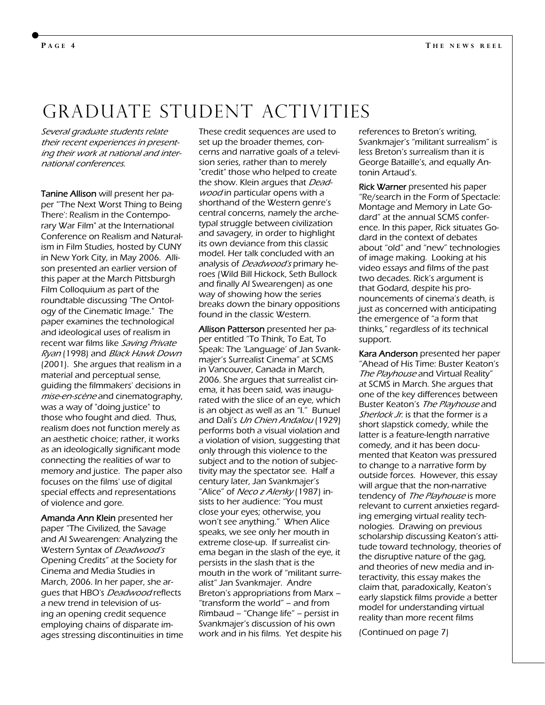#### **P AGE 4**

### Graduate student Activities

Several graduate students relate their recent experiences in presenting their work at national and international conferences.

Tanine Allison will present her paper "'The Next Worst Thing to Being There': Realism in the Contemporary War Film" at the International Conference on Realism and Naturalism in Film Studies, hosted by CUNY in New York City, in May 2006. Allison presented an earlier version of this paper at the March Pittsburgh Film Colloquium as part of the roundtable discussing "The Ontology of the Cinematic Image." The paper examines the technological and ideological uses of realism in recent war films like Saving Private Ryan (1998) and Black Hawk Down (2001). She argues that realism in a material and perceptual sense, guiding the filmmakers' decisions in mise-en-scène and cinematography, was a way of "doing justice" to those who fought and died. Thus, realism does not function merely as an aesthetic choice; rather, it works as an ideologically significant mode connecting the realities of war to memory and justice. The paper also focuses on the films' use of digital special effects and representations of violence and gore.

Amanda Ann Klein presented her paper "The Civilized, the Savage and Al Swearengen: Analyzing the Western Syntax of Deadwood's Opening Credits" at the Society for Cinema and Media Studies in March, 2006. In her paper, she argues that HBO's Deadwood reflects a new trend in television of using an opening credit sequence employing chains of disparate images stressing discontinuities in time These credit sequences are used to set up the broader themes, concerns and narrative goals of a television series, rather than to merely "credit" those who helped to create the show. Klein argues that Deadwood in particular opens with a shorthand of the Western genre's central concerns, namely the archetypal struggle between civilization and savagery, in order to highlight its own deviance from this classic model. Her talk concluded with an analysis of Deadwood's primary heroes (Wild Bill Hickock, Seth Bullock and finally Al Swearengen) as one way of showing how the series breaks down the binary oppositions found in the classic Western.

Allison Patterson presented her paper entitled "To Think, To Eat, To Speak: The 'Language' of Jan Svankmajer's Surrealist Cinema" at SCMS in Vancouver, Canada in March, 2006. She argues that surrealist cinema, it has been said, was inaugurated with the slice of an eye, which is an object as well as an "I." Bunuel and Dali's Un Chien Andalou (1929) performs both a visual violation and a violation of vision, suggesting that only through this violence to the subject and to the notion of subjectivity may the spectator see. Half a century later, Jan Svankmajer's "Alice" of Neco z Alenky (1987) insists to her audience: "You must close your eyes; otherwise, you won't see anything." When Alice speaks, we see only her mouth in extreme close-up. If surrealist cinema began in the slash of the eye, it persists in the slash that is the mouth in the work of "militant surrealist" Jan Svankmajer. Andre Breton's appropriations from Marx – "transform the world" – and from Rimbaud – "Change life" – persist in Svankmajer's discussion of his own work and in his films. Yet despite his references to Breton's writing, Svankmajer's "militant surrealism" is less Breton's surrealism than it is George Bataille's, and equally Antonin Artaud's.

Rick Warner presented his paper "Re/search in the Form of Spectacle: Montage and Memory in Late Godard" at the annual SCMS conference. In this paper, Rick situates Godard in the context of debates about "old" and "new" technologies of image making. Looking at his video essays and films of the past two decades. Rick's argument is that Godard, despite his pronouncements of cinema's death, is just as concerned with anticipating the emergence of "a form that thinks," regardless of its technical support.

Kara Anderson presented her paper "Ahead of His Time: Buster Keaton's The Playhouse and Virtual Reality" at SCMS in March. She argues that one of the key differences between Buster Keaton's The Playhouse and Sherlock Jr. is that the former is a short slapstick comedy, while the latter is a feature-length narrative comedy, and it has been documented that Keaton was pressured to change to a narrative form by outside forces. However, this essay will argue that the non-narrative tendency of The Playhouse is more relevant to current anxieties regarding emerging virtual reality technologies. Drawing on previous scholarship discussing Keaton's attitude toward technology, theories of the disruptive nature of the gag, and theories of new media and interactivity, this essay makes the claim that, paradoxically, Keaton's early slapstick films provide a better model for understanding virtual reality than more recent films

(Continued on page 7)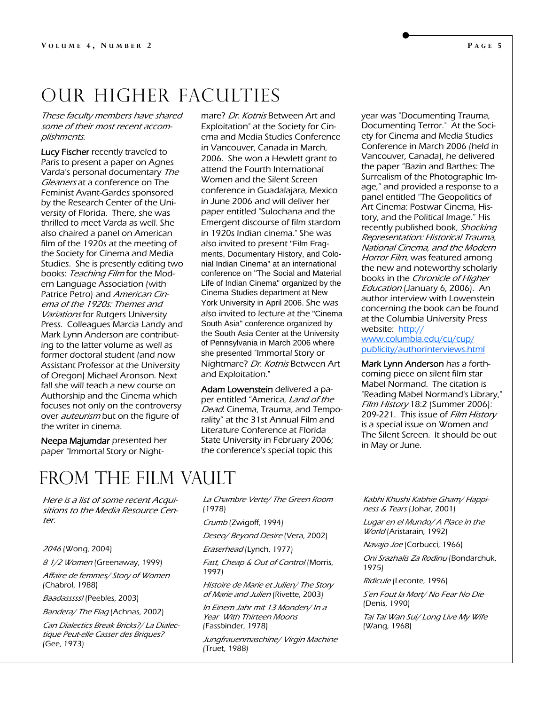# Our higher faculties

These faculty members have shared some of their most recent accomplishments.

Lucy Fischer recently traveled to Paris to present a paper on Agnes Varda's personal documentary The Gleaners at a conference on The Feminist Avant-Gardes sponsored by the Research Center of the University of Florida. There, she was thrilled to meet Varda as well. She also chaired a panel on American film of the 1920s at the meeting of the Society for Cinema and Media Studies. She is presently editing two books: Teaching Film for the Modern Language Association (with Patrice Petro) and American Cinema of the 1920s: Themes and Variations for Rutgers University Press. Colleagues Marcia Landy and Mark Lynn Anderson are contributing to the latter volume as well as former doctoral student (and now Assistant Professor at the University of Oregon) Michael Aronson. Next fall she will teach a new course on Authorship and the Cinema which focuses not only on the controversy over *auteurism* but on the figure of the writer in cinema.

Neepa Majumdar presented her paper "Immortal Story or Nightmare? Dr. Kotnis Between Art and Exploitation" at the Society for Cinema and Media Studies Conference in Vancouver, Canada in March, 2006. She won a Hewlett grant to attend the Fourth International Women and the Silent Screen conference in Guadalajara, Mexico in June 2006 and will deliver her paper entitled "Sulochana and the Emergent discourse of film stardom in 1920s Indian cinema." She was also invited to present "Film Fragments, Documentary History, and Colonial Indian Cinema" at an international conference on "The Social and Material Life of Indian Cinema" organized by the Cinema Studies department at New York University in April 2006. She was also invited to lecture at the "Cinema South Asia" conference organized by the South Asia Center at the University of Pennsylvania in March 2006 where she presented "Immortal Story or Nightmare? Dr. Kotnis Between Art and Exploitation."

Adam Lowenstein delivered a paper entitled "America, Land of the Dead: Cinema, Trauma, and Temporality" at the 31st Annual Film and Literature Conference at Florida State University in February 2006; the conference's special topic this

year was "Documenting Trauma, Documenting Terror." At the Society for Cinema and Media Studies Conference in March 2006 (held in Vancouver, Canada), he delivered the paper "Bazin and Barthes: The Surrealism of the Photographic Image," and provided a response to a panel entitled "The Geopolitics of Art Cinema: Postwar Cinema, History, and the Political Image." His recently published book, Shocking Representation: Historical Trauma, National Cinema, and the Modern Horror Film, was featured among the new and noteworthy scholarly books in the Chronicle of Higher Education (January 6, 2006). An author interview with Lowenstein concerning the book can be found at the Columbia University Press website: [http:/](http://www.columbia.edu/cu/cup/publicity/authorinterviews.html)/

[www.columbia.edu/cu/cup/](http://www.columbia.edu/cu/cup/publicity/authorinterviews.html) [publicity/authorinterviews.htm](http://www.columbia.edu/cu/cup/publicity/authorinterviews.html)l

Mark Lynn Anderson has a forthcoming piece on silent film star Mabel Normand. The citation is "Reading Mabel Normand's Library," Film History 18:2 (Summer 2006): 209-221. This issue of Film History is a special issue on Women and The Silent Screen. It should be out in May or June.

# FROM THE FILM VAULT

Here is a list of some recent Acquisitions to the Media Resource Center

#### <sup>2046</sup>(Wong, 2004)

8 1/2 Women (Greenaway, 1999)

Affaire de femmes/ Story of Women (Chabrol, 1988)

Baadasssss! (Peebles, 2003)

Bandera/ The Flag (Achnas, 2002)

Can Dialectics Break Bricks?/ La Dialectique Peut-elle Casser des Briques? (Gee, 1973)

La Chambre Verte/ The Green Room (1978)

Crumb (Zwigoff, 1994)

Deseo/ Beyond Desire (Vera, 2002)

Eraserhead (Lynch, 1977)

Fast, Cheap & Out of Control (Morris, 1997)

Histoire de Marie et Julien/ The Story of Marie and Julien (Rivette, 2003)

In Einem Jahr mit 13 Monden/ In a Year With Thirteen Moons (Fassbinder, 1978)

Jungfrauenmaschine/ Virgin Machine (Truet, 1988)

Kabhi Khushi Kabhie Gham/ Happiness & Tears (Johar, 2001)

Lugar en el Mundo/ A Place in the World (Aristarain, 1992)

Navajo Joe (Corbucci, 1966)

Oni Srazhalis Za Rodinu (Bondarchuk, 1975)

Ridicule (Leconte, 1996)

S'en Fout la Mort/ No Fear No Die (Denis, 1990)

Tai Tai Wan Sui/ Long Live My Wife (Wang, 1968)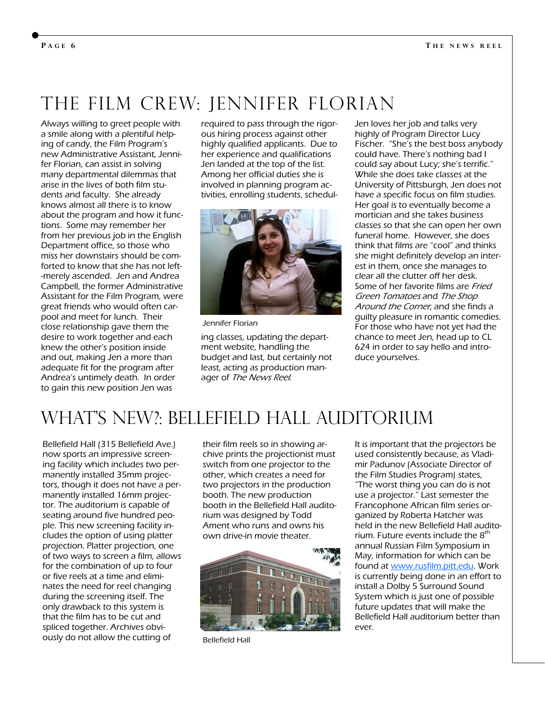# The film crew: JENNIFER FLORIAN

Always willing to greet people with a smile along with a plentiful helping of candy, the Film Program's new Administrative Assistant, Jennifer Florian, can assist in solving many departmental dilemmas that arise in the lives of both film students and faculty. She already knows almost all there is to know about the program and how it functions. Some may remember her from her previous job in the English Department office, so those who miss her downstairs should be comforted to know that she has not left- -merely ascended. Jen and Andrea Campbell, the former Administrative Assistant for the Film Program, were great friends who would often carpool and meet for lunch. Their close relationship gave them the desire to work together and each knew the other's position inside and out, making Jen a more than adequate fit for the program after Andrea's untimely death. In order to gain this new position Jen was

required to pass through the rigorous hiring process against other highly qualified applicants. Due to her experience and qualifications Jen landed at the top of the list. Among her official duties she is involved in planning program activities, enrolling students, schedul-



Jennifer Florian

ing classes, updating the department website, handling the budget and last, but certainly not least, acting as production manager of The News Reel.

Jen loves her job and talks very highly of Program Director Lucy Fischer. "She's the best boss anybody could have. There's nothing bad I could say about Lucy; she's terrific." While she does take classes at the University of Pittsburgh, Jen does not have a specific focus on film studies. Her goal is to eventually become a mortician and she takes business classes so that she can open her own funeral home. However, she does think that films are "cool" and thinks she might definitely develop an interest in them, once she manages to clear all the clutter off her desk. Some of her favorite films are Fried Green Tomatoes and The Shop Around the Corner, and she finds a guilty pleasure in romantic comedies. For those who have not yet had the chance to meet Jen, head up to CL 624 in order to say hello and introduce yourselves.

# WHAT'S NEW?: BELLEFIELD HALL AUDITORIUM

Bellefield Hall (315 Bellefield Ave.) now sports an impressive screening facility which includes two permanently installed 35mm projectors, though it does not have a permanently installed 16mm projector. The auditorium is capable of seating around five hundred people. This new screening facility includes the option of using platter projection. Platter projection, one of two ways to screen a film, allows for the combination of up to four or five reels at a time and eliminates the need for reel changing during the screening itself. The only drawback to this system is that the film has to be cut and spliced together. Archives obviously do not allow the cutting of

their film reels so in showing archive prints the projectionist must switch from one projector to the other, which creates a need for two projectors in the production booth. The new production booth in the Bellefield Hall auditorium was designed by Todd Ament who runs and owns his own drive-in movie theater.



Bellefield Hall

It is important that the projectors be used consistently because, as Vladimir Padunov (Associate Director of the Film Studies Program) states, "The worst thing you can do is not use a projector." Last semester the Francophone African film series organized by Roberta Hatcher was held in the new Bellefield Hall auditorium. Future events include the  $8<sup>th</sup>$ annual Russian Film Symposium in May, information for which can be found a[t www.rusfilm.pitt.ed](http://www.rusfilm.pitt.edu/)u. Work is currently being done in an effort to install a Dolby 5 Surround Sound System which is just one of possible future updates that will make the Bellefield Hall auditorium better than ever.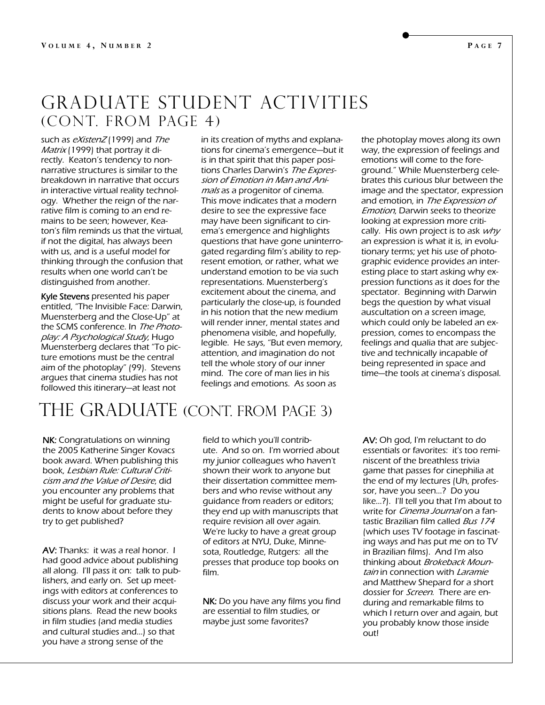#### Graduate Student Activities (Cont. from page 4)

such as eXistenZ (1999) and The Matrix (1999) that portray it directly. Keaton's tendency to nonnarrative structures is similar to the breakdown in narrative that occurs in interactive virtual reality technology. Whether the reign of the narrative film is coming to an end remains to be seen; however, Keaton's film reminds us that the virtual, if not the digital, has always been with us, and is a useful model for thinking through the confusion that results when one world can't be distinguished from another.

Kyle Stevens presented his paper entitled, "The Invisible Face: Darwin, Muensterberg and the Close-Up" at the SCMS conference. In The Photoplay: A Psychological Study, Hugo Muensterberg declares that "To picture emotions must be the central aim of the photoplay" (99). Stevens argues that cinema studies has not followed this itinerary—at least not

in its creation of myths and explanations for cinema's emergence—but it is in that spirit that this paper positions Charles Darwin's The Expression of Emotion in Man and Animals as a progenitor of cinema. This move indicates that a modern desire to see the expressive face may have been significant to cinema's emergence and highlights questions that have gone uninterrogated regarding film's ability to represent emotion, or rather, what we understand emotion to be via such representations. Muensterberg's excitement about the cinema, and particularly the close-up, is founded in his notion that the new medium will render inner, mental states and phenomena visible, and hopefully, legible. He says, "But even memory, attention, and imagination do not tell the whole story of our inner mind. The core of man lies in his feelings and emotions. As soon as

the photoplay moves along its own way, the expression of feelings and emotions will come to the foreground." While Muensterberg celebrates this curious blur between the image and the spectator, expression and emotion, in The Expression of Emotion, Darwin seeks to theorize looking at expression more critically. His own project is to ask  $why$ an expression is what it is, in evolutionary terms; yet his use of photographic evidence provides an interesting place to start asking why expression functions as it does for the spectator. Beginning with Darwin begs the question by what visual auscultation on a screen image, which could only be labeled an expression, comes to encompass the feelings and qualia that are subjective and technically incapable of being represented in space and time—the tools at cinema's disposal.

# THE GRADUATE (CONT. FROM PAGE 3)

NK: Congratulations on winning the 2005 Katherine Singer Kovacs book award. When publishing this book, Lesbian Rule: Cultural Criticism and the Value of Desire, did you encounter any problems that might be useful for graduate students to know about before they try to get published?

AV: Thanks: it was a real honor. I had good advice about publishing all along. I'll pass it on: talk to publishers, and early on. Set up meetings with editors at conferences to discuss your work and their acquisitions plans. Read the new books in film studies (and media studies and cultural studies and...) so that you have a strong sense of the

field to which you'll contribute. And so on. I'm worried about my junior colleagues who haven't shown their work to anyone but their dissertation committee members and who revise without any guidance from readers or editors; they end up with manuscripts that require revision all over again. We're lucky to have a great group of editors at NYU, Duke, Minnesota, Routledge, Rutgers: all the presses that produce top books on film.

NK: Do you have any films you find are essential to film studies, or maybe just some favorites?

AV: Oh god, I'm reluctant to do essentials or favorites: it's too reminiscent of the breathless trivia game that passes for cinephilia at the end of my lectures (Uh, professor, have you seen...? Do you like...?). I'll tell you that I'm about to write for *Cinema Journal* on a fantastic Brazilian film called Bus 174 (which uses TV footage in fascinating ways and has put me on to TV in Brazilian films). And I'm also thinking about Brokeback Mountain in connection with Laramie and Matthew Shepard for a short dossier for Screen. There are enduring and remarkable films to which I return over and again, but you probably know those inside out!